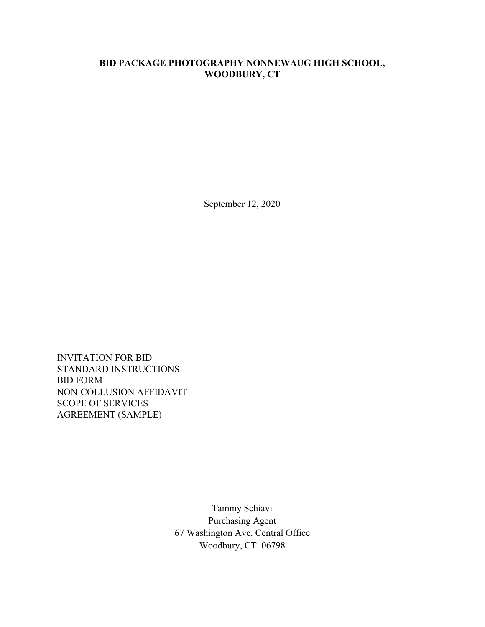## **BID PACKAGE PHOTOGRAPHY NONNEWAUG HIGH SCHOOL, WOODBURY, CT**

September 12, 2020

INVITATION FOR BID STANDARD INSTRUCTIONS BID FORM NON-COLLUSION AFFIDAVIT SCOPE OF SERVICES AGREEMENT (SAMPLE)

> Tammy Schiavi Purchasing Agent 67 Washington Ave. Central Office Woodbury, CT 06798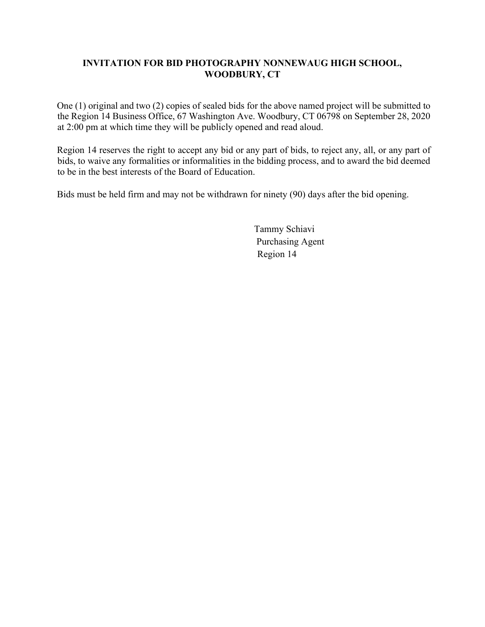## **INVITATION FOR BID PHOTOGRAPHY NONNEWAUG HIGH SCHOOL, WOODBURY, CT**

One (1) original and two (2) copies of sealed bids for the above named project will be submitted to the Region 14 Business Office, 67 Washington Ave. Woodbury, CT 06798 on September 28, 2020 at 2:00 pm at which time they will be publicly opened and read aloud.

Region 14 reserves the right to accept any bid or any part of bids, to reject any, all, or any part of bids, to waive any formalities or informalities in the bidding process, and to award the bid deemed to be in the best interests of the Board of Education.

Bids must be held firm and may not be withdrawn for ninety (90) days after the bid opening.

Tammy Schiavi Purchasing Agent Region 14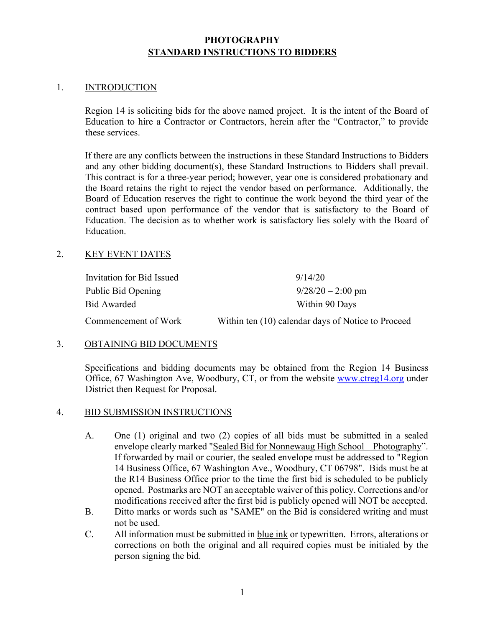## **PHOTOGRAPHY STANDARD INSTRUCTIONS TO BIDDERS**

#### 1. INTRODUCTION

Region 14 is soliciting bids for the above named project. It is the intent of the Board of Education to hire a Contractor or Contractors, herein after the "Contractor," to provide these services.

If there are any conflicts between the instructions in these Standard Instructions to Bidders and any other bidding document(s), these Standard Instructions to Bidders shall prevail. This contract is for a three-year period; however, year one is considered probationary and the Board retains the right to reject the vendor based on performance. Additionally, the Board of Education reserves the right to continue the work beyond the third year of the contract based upon performance of the vendor that is satisfactory to the Board of Education. The decision as to whether work is satisfactory lies solely with the Board of Education.

#### 2. KEY EVENT DATES

| Invitation for Bid Issued | 9/14/20                                            |
|---------------------------|----------------------------------------------------|
| Public Bid Opening        | $9/28/20 - 2:00$ pm                                |
| Bid Awarded               | Within 90 Days                                     |
| Commencement of Work      | Within ten (10) calendar days of Notice to Proceed |

#### 3. OBTAINING BID DOCUMENTS

Specifications and bidding documents may be obtained from the Region 14 Business Office, 67 Washington Ave, Woodbury, CT, or from the website www.ctreg14.org under District then Request for Proposal.

#### 4. BID SUBMISSION INSTRUCTIONS

- A. One (1) original and two (2) copies of all bids must be submitted in a sealed envelope clearly marked "Sealed Bid for Nonnewaug High School – Photography". If forwarded by mail or courier, the sealed envelope must be addressed to "Region 14 Business Office, 67 Washington Ave., Woodbury, CT 06798". Bids must be at the R14 Business Office prior to the time the first bid is scheduled to be publicly opened. Postmarks are NOT an acceptable waiver of this policy. Corrections and/or modifications received after the first bid is publicly opened will NOT be accepted.
- B. Ditto marks or words such as "SAME" on the Bid is considered writing and must not be used.
- C. All information must be submitted in blue ink or typewritten. Errors, alterations or corrections on both the original and all required copies must be initialed by the person signing the bid.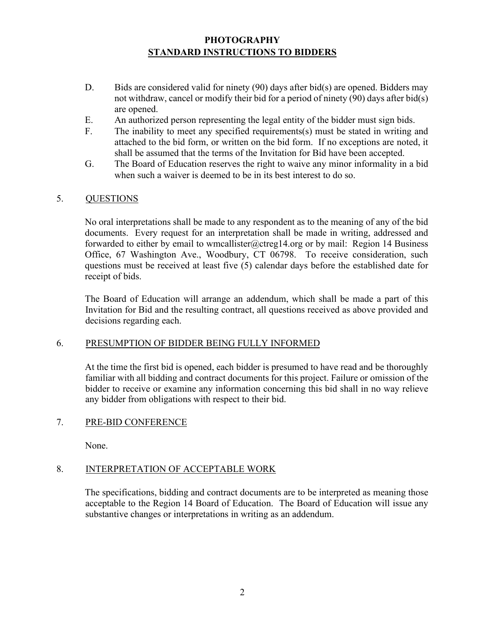## **PHOTOGRAPHY STANDARD INSTRUCTIONS TO BIDDERS**

- D. Bids are considered valid for ninety (90) days after bid(s) are opened. Bidders may not withdraw, cancel or modify their bid for a period of ninety (90) days after bid(s) are opened.
- E. An authorized person representing the legal entity of the bidder must sign bids.
- F. The inability to meet any specified requirements(s) must be stated in writing and attached to the bid form, or written on the bid form. If no exceptions are noted, it shall be assumed that the terms of the Invitation for Bid have been accepted.
- G. The Board of Education reserves the right to waive any minor informality in a bid when such a waiver is deemed to be in its best interest to do so.

#### 5. QUESTIONS

No oral interpretations shall be made to any respondent as to the meaning of any of the bid documents. Every request for an interpretation shall be made in writing, addressed and forwarded to either by email to wmcallister@ctreg14.org or by mail: Region 14 Business Office, 67 Washington Ave., Woodbury, CT 06798. To receive consideration, such questions must be received at least five (5) calendar days before the established date for receipt of bids.

The Board of Education will arrange an addendum, which shall be made a part of this Invitation for Bid and the resulting contract, all questions received as above provided and decisions regarding each.

#### 6. PRESUMPTION OF BIDDER BEING FULLY INFORMED

At the time the first bid is opened, each bidder is presumed to have read and be thoroughly familiar with all bidding and contract documents for this project. Failure or omission of the bidder to receive or examine any information concerning this bid shall in no way relieve any bidder from obligations with respect to their bid.

#### 7. PRE-BID CONFERENCE

None.

#### 8. INTERPRETATION OF ACCEPTABLE WORK

The specifications, bidding and contract documents are to be interpreted as meaning those acceptable to the Region 14 Board of Education. The Board of Education will issue any substantive changes or interpretations in writing as an addendum.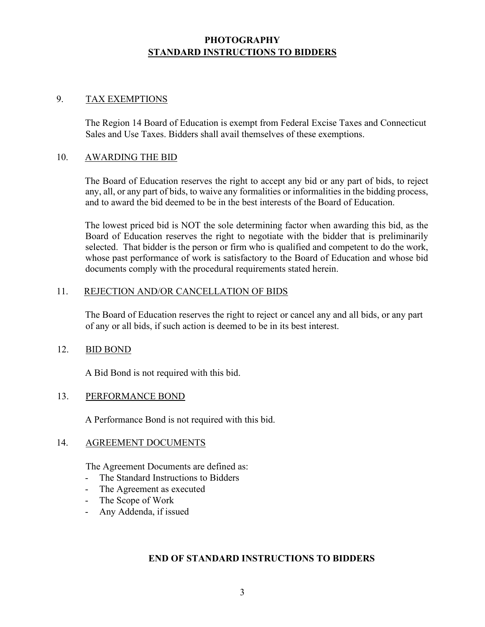## **PHOTOGRAPHY STANDARD INSTRUCTIONS TO BIDDERS**

#### 9. TAX EXEMPTIONS

The Region 14 Board of Education is exempt from Federal Excise Taxes and Connecticut Sales and Use Taxes. Bidders shall avail themselves of these exemptions.

#### 10. AWARDING THE BID

The Board of Education reserves the right to accept any bid or any part of bids, to reject any, all, or any part of bids, to waive any formalities or informalities in the bidding process, and to award the bid deemed to be in the best interests of the Board of Education.

The lowest priced bid is NOT the sole determining factor when awarding this bid, as the Board of Education reserves the right to negotiate with the bidder that is preliminarily selected. That bidder is the person or firm who is qualified and competent to do the work, whose past performance of work is satisfactory to the Board of Education and whose bid documents comply with the procedural requirements stated herein.

#### 11. REJECTION AND/OR CANCELLATION OF BIDS

The Board of Education reserves the right to reject or cancel any and all bids, or any part of any or all bids, if such action is deemed to be in its best interest.

#### 12. BID BOND

A Bid Bond is not required with this bid.

#### 13. PERFORMANCE BOND

A Performance Bond is not required with this bid.

#### 14. AGREEMENT DOCUMENTS

The Agreement Documents are defined as:

- The Standard Instructions to Bidders
- The Agreement as executed
- The Scope of Work
- Any Addenda, if issued

## **END OF STANDARD INSTRUCTIONS TO BIDDERS**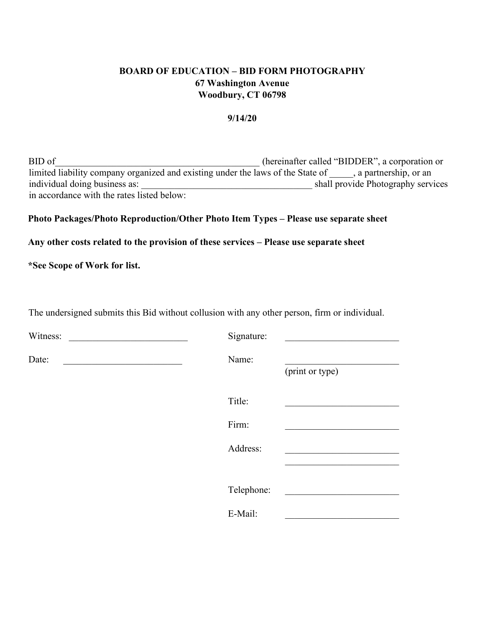## **BOARD OF EDUCATION – BID FORM PHOTOGRAPHY 67 Washington Avenue Woodbury, CT 06798**

#### **9/14/20**

BID of (hereinafter called "BIDDER", a corporation or limited liability company organized and existing under the laws of the State of \_\_\_\_, a partnership, or an individual doing business as: shall provide Photography services individual doing business as: \_\_\_\_\_\_\_\_\_\_\_\_\_\_\_\_\_\_\_\_\_\_\_\_\_\_\_\_\_\_\_\_\_\_\_\_ shall provide Photography services in accordance with the rates listed below:

#### **Photo Packages/Photo Reproduction/Other Photo Item Types – Please use separate sheet**

#### **Any other costs related to the provision of these services – Please use separate sheet**

**\*See Scope of Work for list.** 

The undersigned submits this Bid without collusion with any other person, firm or individual.

| Witness: | Signature: |                 |
|----------|------------|-----------------|
| Date:    | Name:      | (print or type) |
|          | Title:     |                 |
|          | Firm:      |                 |
|          | Address:   |                 |
|          |            |                 |
|          | Telephone: |                 |
|          | E-Mail:    |                 |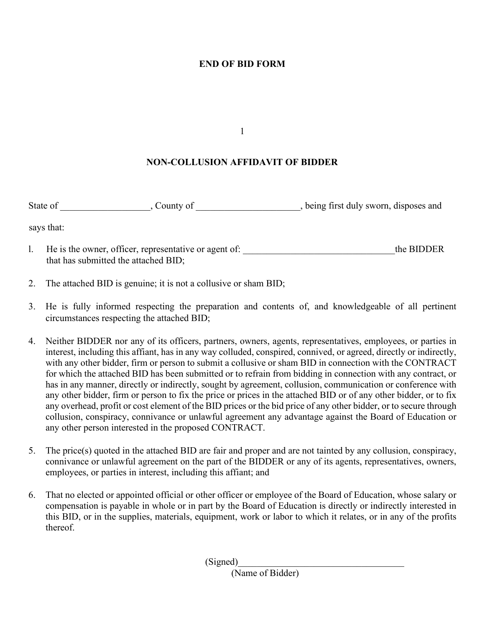## **END OF BID FORM**

1

#### **NON-COLLUSION AFFIDAVIT OF BIDDER**

State of county of county of the state of the state of the state of the state of the state of  $\sim$  5. County of  $\sim$ 

says that:

- l. He is the owner, officer, representative or agent of: the BIDDER that has submitted the attached BID;
- 2. The attached BID is genuine; it is not a collusive or sham BID;
- 3. He is fully informed respecting the preparation and contents of, and knowledgeable of all pertinent circumstances respecting the attached BID;
- 4. Neither BIDDER nor any of its officers, partners, owners, agents, representatives, employees, or parties in interest, including this affiant, has in any way colluded, conspired, connived, or agreed, directly or indirectly, with any other bidder, firm or person to submit a collusive or sham BID in connection with the CONTRACT for which the attached BID has been submitted or to refrain from bidding in connection with any contract, or has in any manner, directly or indirectly, sought by agreement, collusion, communication or conference with any other bidder, firm or person to fix the price or prices in the attached BID or of any other bidder, or to fix any overhead, profit or cost element of the BID prices or the bid price of any other bidder, or to secure through collusion, conspiracy, connivance or unlawful agreement any advantage against the Board of Education or any other person interested in the proposed CONTRACT.
- 5. The price(s) quoted in the attached BID are fair and proper and are not tainted by any collusion, conspiracy, connivance or unlawful agreement on the part of the BIDDER or any of its agents, representatives, owners, employees, or parties in interest, including this affiant; and
- 6. That no elected or appointed official or other officer or employee of the Board of Education, whose salary or compensation is payable in whole or in part by the Board of Education is directly or indirectly interested in this BID, or in the supplies, materials, equipment, work or labor to which it relates, or in any of the profits thereof.

 $(Signed)$ 

(Name of Bidder)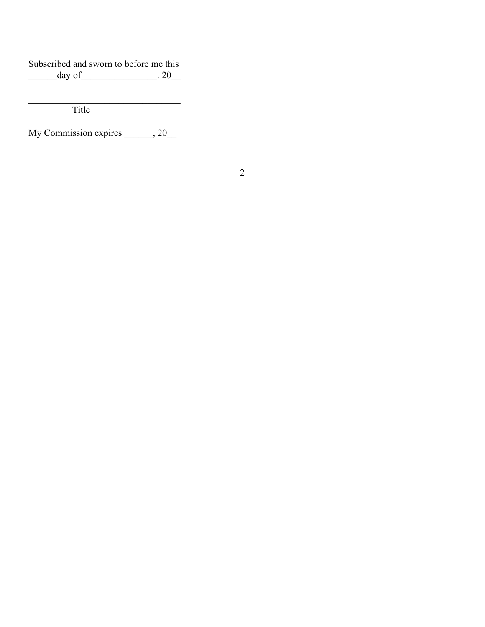Subscribed and sworn to before me this<br>day of 20 \_\_\_\_\_\_day of\_\_\_\_\_\_\_\_\_\_\_\_\_\_\_\_. 20\_\_

 $\overline{\phantom{a}}$  , and the set of the set of the set of the set of the set of the set of the set of the set of the set of the set of the set of the set of the set of the set of the set of the set of the set of the set of the s Title

My Commission expires \_\_\_\_\_\_, 20\_\_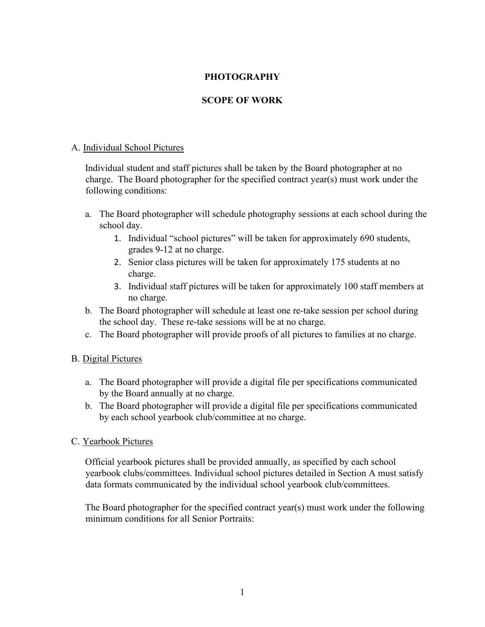## **PHOTOGRAPHY**

## **SCOPE OF WORK**

#### A. Individual School Pictures

Individual student and staff pictures shall be taken by the Board photographer at no charge. The Board photographer for the specified contract year(s) must work under the following conditions:

- a. The Board photographer will schedule photography sessions at each school during the school day.
	- 1. Individual "school pictures" will be taken for approximately 690 students, grades 9-12 at no charge.
	- 2. Senior class pictures will be taken for approximately 175 students at no charge.
	- 3. Individual staff pictures will be taken for approximately 100 staff members at no charge.
- b. The Board photographer will schedule at least one re-take session per school during the school day. These re-take sessions will be at no charge.
- c. The Board photographer will provide proofs of all pictures to families at no charge.

## B. Digital Pictures

- a. The Board photographer will provide a digital file per specifications communicated by the Board annually at no charge.
- b. The Board photographer will provide a digital file per specifications communicated by each school yearbook club/committee at no charge.

## C. Yearbook Pictures

Official yearbook pictures shall be provided annually, as specified by each school yearbook clubs/committees. Individual school pictures detailed in Section A must satisfy data formats communicated by the individual school yearbook club/committees.

The Board photographer for the specified contract year(s) must work under the following minimum conditions for all Senior Portraits: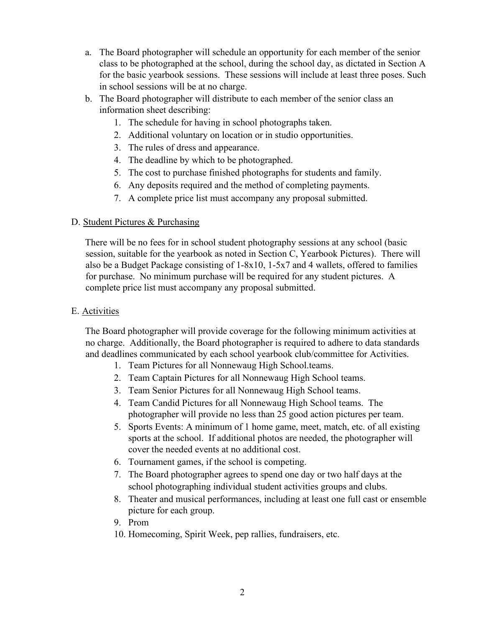- a. The Board photographer will schedule an opportunity for each member of the senior class to be photographed at the school, during the school day, as dictated in Section A for the basic yearbook sessions. These sessions will include at least three poses. Such in school sessions will be at no charge.
- b. The Board photographer will distribute to each member of the senior class an information sheet describing:
	- 1. The schedule for having in school photographs taken.
	- 2. Additional voluntary on location or in studio opportunities.
	- 3. The rules of dress and appearance.
	- 4. The deadline by which to be photographed.
	- 5. The cost to purchase finished photographs for students and family.
	- 6. Any deposits required and the method of completing payments.
	- 7. A complete price list must accompany any proposal submitted.

## D. Student Pictures & Purchasing

There will be no fees for in school student photography sessions at any school (basic session, suitable for the yearbook as noted in Section C, Yearbook Pictures). There will also be a Budget Package consisting of 1-8x10, 1-5x7 and 4 wallets, offered to families for purchase. No minimum purchase will be required for any student pictures. A complete price list must accompany any proposal submitted.

## E. Activities

The Board photographer will provide coverage for the following minimum activities at no charge. Additionally, the Board photographer is required to adhere to data standards and deadlines communicated by each school yearbook club/committee for Activities.

- 1. Team Pictures for all Nonnewaug High School.teams.
- 2. Team Captain Pictures for all Nonnewaug High School teams.
- 3. Team Senior Pictures for all Nonnewaug High School teams.
- 4. Team Candid Pictures for all Nonnewaug High School teams. The photographer will provide no less than 25 good action pictures per team.
- 5. Sports Events: A minimum of 1 home game, meet, match, etc. of all existing sports at the school. If additional photos are needed, the photographer will cover the needed events at no additional cost.
- 6. Tournament games, if the school is competing.
- 7. The Board photographer agrees to spend one day or two half days at the school photographing individual student activities groups and clubs.
- 8. Theater and musical performances, including at least one full cast or ensemble picture for each group.
- 9. Prom
- 10. Homecoming, Spirit Week, pep rallies, fundraisers, etc.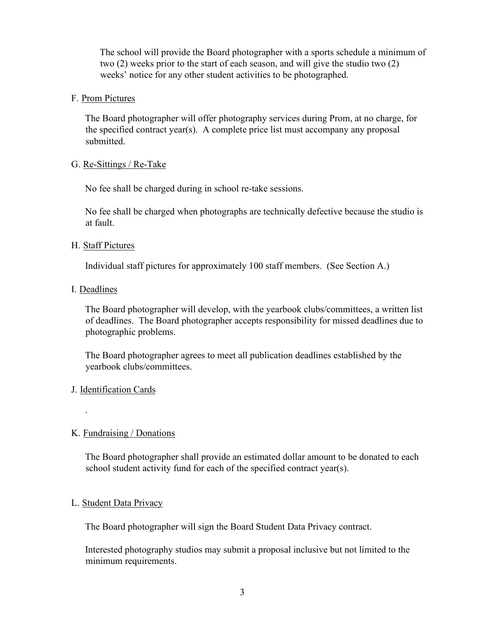The school will provide the Board photographer with a sports schedule a minimum of two (2) weeks prior to the start of each season, and will give the studio two (2) weeks' notice for any other student activities to be photographed.

#### F. Prom Pictures

The Board photographer will offer photography services during Prom, at no charge, for the specified contract year(s). A complete price list must accompany any proposal submitted.

#### G. Re-Sittings / Re-Take

No fee shall be charged during in school re-take sessions.

No fee shall be charged when photographs are technically defective because the studio is at fault.

#### H. Staff Pictures

Individual staff pictures for approximately 100 staff members. (See Section A.)

#### I. Deadlines

The Board photographer will develop, with the yearbook clubs/committees, a written list of deadlines. The Board photographer accepts responsibility for missed deadlines due to photographic problems.

The Board photographer agrees to meet all publication deadlines established by the yearbook clubs/committees.

## J. Identification Cards

.

## K. Fundraising / Donations

The Board photographer shall provide an estimated dollar amount to be donated to each school student activity fund for each of the specified contract year(s).

## L. Student Data Privacy

The Board photographer will sign the Board Student Data Privacy contract.

Interested photography studios may submit a proposal inclusive but not limited to the minimum requirements.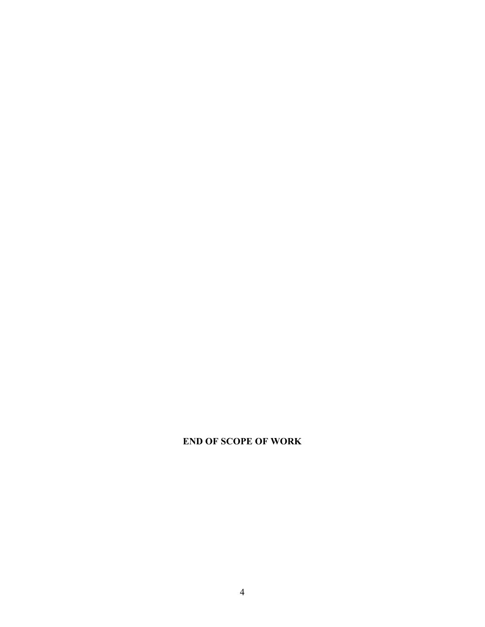# **END OF SCOPE OF WORK**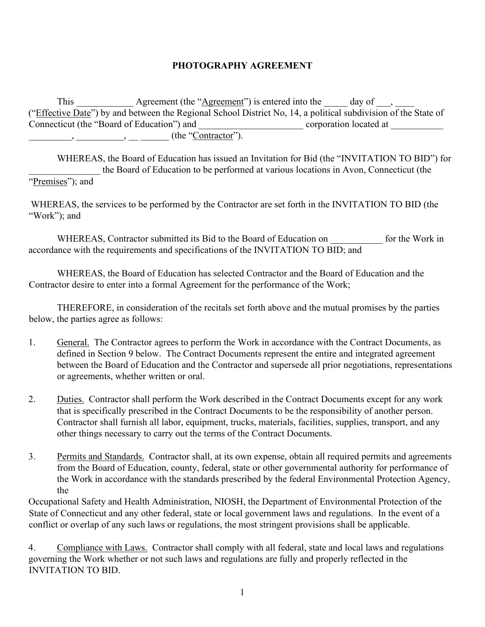## **PHOTOGRAPHY AGREEMENT**

This Agreement (the "Agreement") is entered into the day of  $\Box$ ("Effective Date") by and between the Regional School District No, 14, a political subdivision of the State of Connecticut (the "Board of Education") and \_\_\_\_\_\_\_\_\_\_\_\_\_\_\_\_\_\_\_\_\_\_\_\_\_\_\_\_\_ corporation located at \_\_\_\_\_\_\_\_\_\_\_\_\_\_  $\frac{1}{\sqrt{2\pi}}$ ,  $\frac{1}{\sqrt{2\pi}}$  (the "Contractor").

WHEREAS, the Board of Education has issued an Invitation for Bid (the "INVITATION TO BID") for the Board of Education to be performed at various locations in Avon, Connecticut (the "Premises"); and

WHEREAS, the services to be performed by the Contractor are set forth in the INVITATION TO BID (the "Work"); and

WHEREAS, Contractor submitted its Bid to the Board of Education on for the Work in accordance with the requirements and specifications of the INVITATION TO BID; and

WHEREAS, the Board of Education has selected Contractor and the Board of Education and the Contractor desire to enter into a formal Agreement for the performance of the Work;

THEREFORE, in consideration of the recitals set forth above and the mutual promises by the parties below, the parties agree as follows:

- 1. General. The Contractor agrees to perform the Work in accordance with the Contract Documents, as defined in Section 9 below. The Contract Documents represent the entire and integrated agreement between the Board of Education and the Contractor and supersede all prior negotiations, representations or agreements, whether written or oral.
- 2. Duties. Contractor shall perform the Work described in the Contract Documents except for any work that is specifically prescribed in the Contract Documents to be the responsibility of another person. Contractor shall furnish all labor, equipment, trucks, materials, facilities, supplies, transport, and any other things necessary to carry out the terms of the Contract Documents.
- 3. Permits and Standards. Contractor shall, at its own expense, obtain all required permits and agreements from the Board of Education, county, federal, state or other governmental authority for performance of the Work in accordance with the standards prescribed by the federal Environmental Protection Agency, the

Occupational Safety and Health Administration, NIOSH, the Department of Environmental Protection of the State of Connecticut and any other federal, state or local government laws and regulations. In the event of a conflict or overlap of any such laws or regulations, the most stringent provisions shall be applicable.

4. Compliance with Laws. Contractor shall comply with all federal, state and local laws and regulations governing the Work whether or not such laws and regulations are fully and properly reflected in the INVITATION TO BID.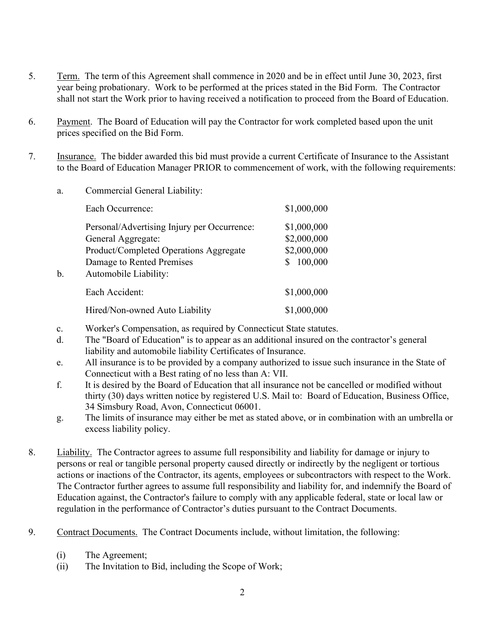- 5. Term. The term of this Agreement shall commence in 2020 and be in effect until June 30, 2023, first year being probationary. Work to be performed at the prices stated in the Bid Form. The Contractor shall not start the Work prior to having received a notification to proceed from the Board of Education.
- 6. Payment. The Board of Education will pay the Contractor for work completed based upon the unit prices specified on the Bid Form.
- 7. Insurance. The bidder awarded this bid must provide a current Certificate of Insurance to the Assistant to the Board of Education Manager PRIOR to commencement of work, with the following requirements:
	- a. Commercial General Liability:

|    | Each Occurrence:                                                                                                                                                  | \$1,000,000                                          |
|----|-------------------------------------------------------------------------------------------------------------------------------------------------------------------|------------------------------------------------------|
| b. | Personal/Advertising Injury per Occurrence:<br>General Aggregate:<br>Product/Completed Operations Aggregate<br>Damage to Rented Premises<br>Automobile Liability: | \$1,000,000<br>\$2,000,000<br>\$2,000,000<br>100,000 |
|    | Each Accident:                                                                                                                                                    | \$1,000,000                                          |
|    | Hired/Non-owned Auto Liability                                                                                                                                    | \$1,000,000                                          |

- c. Worker's Compensation, as required by Connecticut State statutes.
- d. The "Board of Education" is to appear as an additional insured on the contractor's general liability and automobile liability Certificates of Insurance.
- e. All insurance is to be provided by a company authorized to issue such insurance in the State of Connecticut with a Best rating of no less than A: VII.
- f. It is desired by the Board of Education that all insurance not be cancelled or modified without thirty (30) days written notice by registered U.S. Mail to: Board of Education, Business Office, 34 Simsbury Road, Avon, Connecticut 06001.
- g. The limits of insurance may either be met as stated above, or in combination with an umbrella or excess liability policy.
- 8. Liability. The Contractor agrees to assume full responsibility and liability for damage or injury to persons or real or tangible personal property caused directly or indirectly by the negligent or tortious actions or inactions of the Contractor, its agents, employees or subcontractors with respect to the Work. The Contractor further agrees to assume full responsibility and liability for, and indemnify the Board of Education against, the Contractor's failure to comply with any applicable federal, state or local law or regulation in the performance of Contractor's duties pursuant to the Contract Documents.
- 9. Contract Documents. The Contract Documents include, without limitation, the following:
	- (i) The Agreement;
	- (ii) The Invitation to Bid, including the Scope of Work;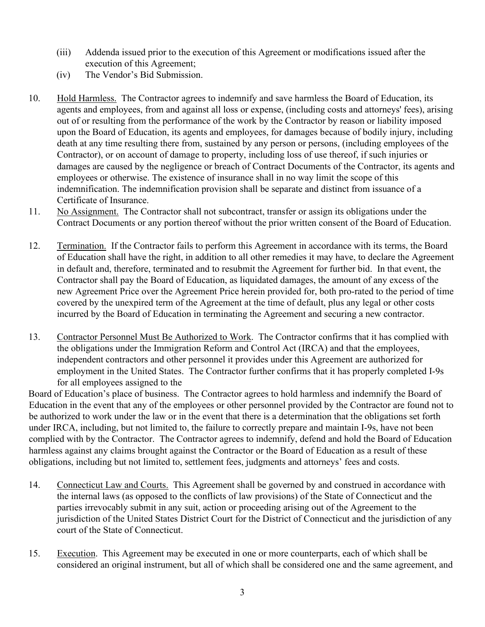- (iii) Addenda issued prior to the execution of this Agreement or modifications issued after the execution of this Agreement;
- (iv) The Vendor's Bid Submission.
- 10. Hold Harmless. The Contractor agrees to indemnify and save harmless the Board of Education, its agents and employees, from and against all loss or expense, (including costs and attorneys' fees), arising out of or resulting from the performance of the work by the Contractor by reason or liability imposed upon the Board of Education, its agents and employees, for damages because of bodily injury, including death at any time resulting there from, sustained by any person or persons, (including employees of the Contractor), or on account of damage to property, including loss of use thereof, if such injuries or damages are caused by the negligence or breach of Contract Documents of the Contractor, its agents and employees or otherwise. The existence of insurance shall in no way limit the scope of this indemnification. The indemnification provision shall be separate and distinct from issuance of a Certificate of Insurance.
- 11. No Assignment. The Contractor shall not subcontract, transfer or assign its obligations under the Contract Documents or any portion thereof without the prior written consent of the Board of Education.
- 12. Termination. If the Contractor fails to perform this Agreement in accordance with its terms, the Board of Education shall have the right, in addition to all other remedies it may have, to declare the Agreement in default and, therefore, terminated and to resubmit the Agreement for further bid. In that event, the Contractor shall pay the Board of Education, as liquidated damages, the amount of any excess of the new Agreement Price over the Agreement Price herein provided for, both pro-rated to the period of time covered by the unexpired term of the Agreement at the time of default, plus any legal or other costs incurred by the Board of Education in terminating the Agreement and securing a new contractor.
- 13. Contractor Personnel Must Be Authorized to Work. The Contractor confirms that it has complied with the obligations under the Immigration Reform and Control Act (IRCA) and that the employees, independent contractors and other personnel it provides under this Agreement are authorized for employment in the United States. The Contractor further confirms that it has properly completed I-9s for all employees assigned to the

Board of Education's place of business. The Contractor agrees to hold harmless and indemnify the Board of Education in the event that any of the employees or other personnel provided by the Contractor are found not to be authorized to work under the law or in the event that there is a determination that the obligations set forth under IRCA, including, but not limited to, the failure to correctly prepare and maintain I-9s, have not been complied with by the Contractor. The Contractor agrees to indemnify, defend and hold the Board of Education harmless against any claims brought against the Contractor or the Board of Education as a result of these obligations, including but not limited to, settlement fees, judgments and attorneys' fees and costs.

- 14. Connecticut Law and Courts. This Agreement shall be governed by and construed in accordance with the internal laws (as opposed to the conflicts of law provisions) of the State of Connecticut and the parties irrevocably submit in any suit, action or proceeding arising out of the Agreement to the jurisdiction of the United States District Court for the District of Connecticut and the jurisdiction of any court of the State of Connecticut.
- 15. Execution. This Agreement may be executed in one or more counterparts, each of which shall be considered an original instrument, but all of which shall be considered one and the same agreement, and